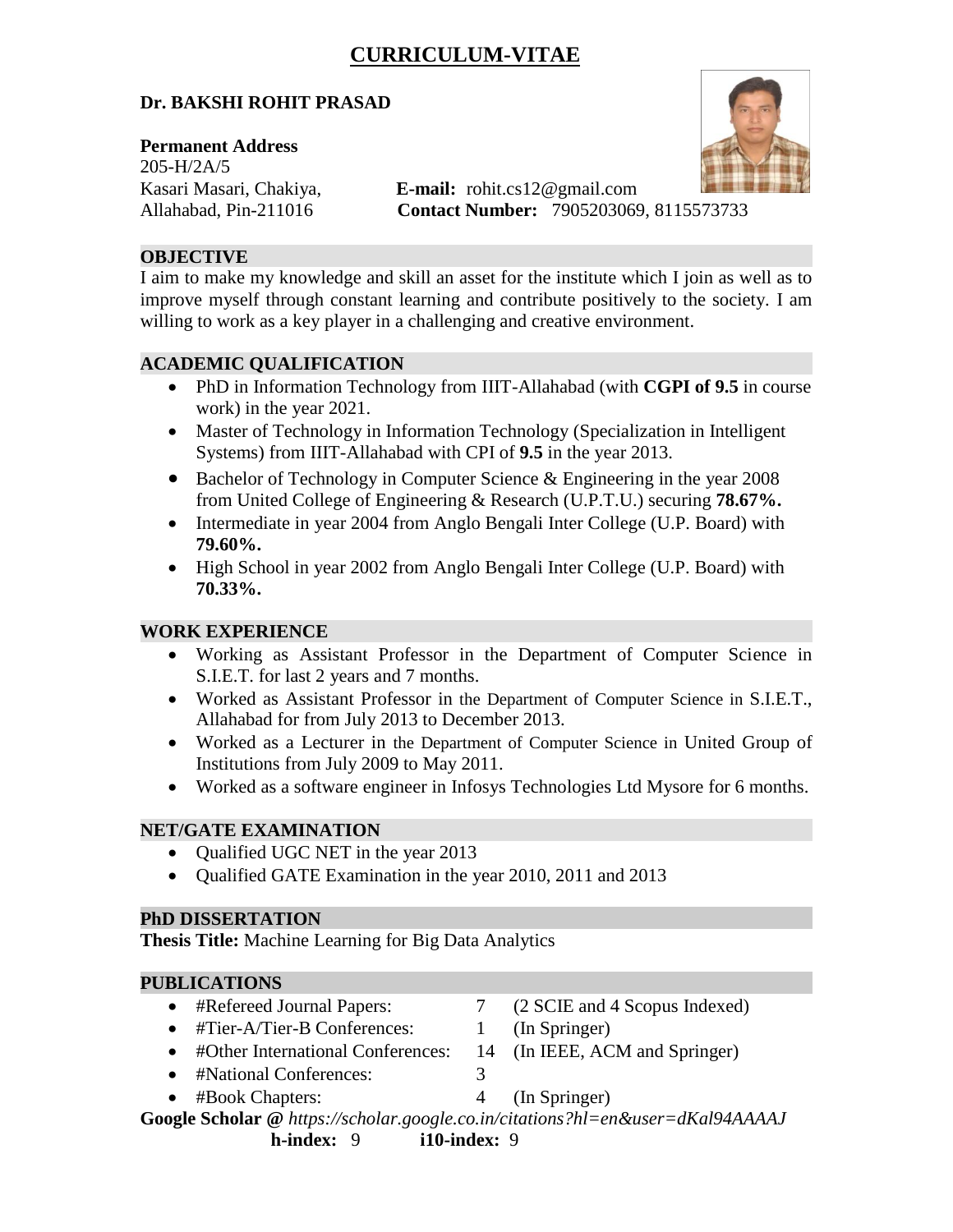# **CURRICULUM-VITAE**

### **Dr. BAKSHI ROHIT PRASAD**

#### **Permanent Address**

205-H/2A/5

Kasari Masari, Chakiya, **E-mail:** rohit.cs12@gmail.com Allahabad, Pin-211016 **Contact Number:** 7905203069, 8115573733

### **OBJECTIVE**

I aim to make my knowledge and skill an asset for the institute which I join as well as to improve myself through constant learning and contribute positively to the society. I am willing to work as a key player in a challenging and creative environment.

### **ACADEMIC QUALIFICATION**

- PhD in Information Technology from IIIT-Allahabad (with **CGPI of 9.5** in course work) in the year 2021.
- Master of Technology in Information Technology (Specialization in Intelligent Systems) from IIIT-Allahabad with CPI of **9.5** in the year 2013.
- Bachelor of Technology in Computer Science & Engineering in the year 2008 from United College of Engineering & Research (U.P.T.U.) securing **78.67%.**
- Intermediate in year 2004 from Anglo Bengali Inter College (U.P. Board) with **79.60%.**
- High School in year 2002 from Anglo Bengali Inter College (U.P. Board) with **70.33%.**

### **WORK EXPERIENCE**

- Working as Assistant Professor in the Department of Computer Science in S.I.E.T. for last 2 years and 7 months.
- Worked as Assistant Professor in the Department of Computer Science in S.I.E.T., Allahabad for from July 2013 to December 2013.
- Worked as a Lecturer in the Department of Computer Science in United Group of Institutions from July 2009 to May 2011.
- Worked as a software engineer in Infosys Technologies Ltd Mysore for 6 months.

### **NET/GATE EXAMINATION**

- Qualified UGC NET in the year 2013
- Qualified GATE Examination in the year 2010, 2011 and 2013

#### **PhD DISSERTATION**

**Thesis Title:** Machine Learning for Big Data Analytics

#### **PUBLICATIONS**

- #Refereed Journal Papers: 7 (2 SCIE and 4 Scopus Indexed)
- #Tier-A/Tier-B Conferences: 1 (In Springer)
- #Other International Conferences: 14 (In IEEE, ACM and Springer)
- #National Conferences: 3
- #Book Chapters: 4 (In Springer)

**Google Scholar @** *https://scholar.google.co.in/citations?hl=en&user=dKal94AAAAJ*

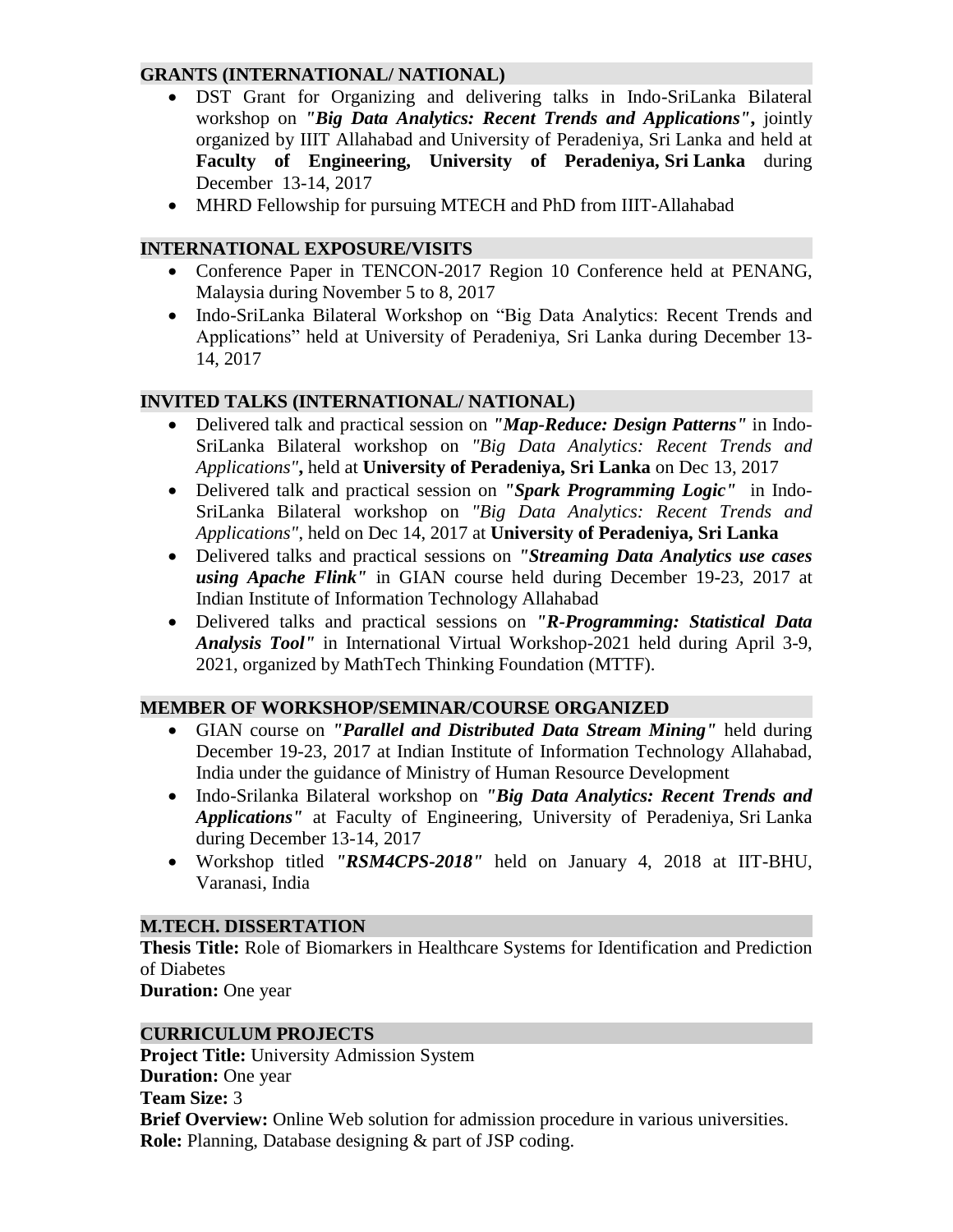### **GRANTS (INTERNATIONAL/ NATIONAL)**

- DST Grant for Organizing and delivering talks in Indo-SriLanka Bilateral workshop on *"Big Data Analytics: Recent Trends and Applications"***,** jointly organized by IIIT Allahabad and University of Peradeniya, Sri Lanka and held at **Faculty of Engineering, University of Peradeniya, Sri Lanka** during December 13-14, 2017
- MHRD Fellowship for pursuing MTECH and PhD from IIIT-Allahabad

### **INTERNATIONAL EXPOSURE/VISITS**

- Conference Paper in TENCON-2017 Region 10 Conference held at PENANG, Malaysia during November 5 to 8, 2017
- Indo-SriLanka Bilateral Workshop on "Big Data Analytics: Recent Trends and Applications" held at University of Peradeniya, Sri Lanka during December 13- 14, 2017

### **INVITED TALKS (INTERNATIONAL/ NATIONAL)**

- Delivered talk and practical session on *"Map-Reduce: Design Patterns"* in Indo-SriLanka Bilateral workshop on *"Big Data Analytics: Recent Trends and Applications"***,** held at **University of Peradeniya, Sri Lanka** on Dec 13, 2017
- Delivered talk and practical session on *"Spark Programming Logic"* in Indo-SriLanka Bilateral workshop on *"Big Data Analytics: Recent Trends and Applications"*, held on Dec 14, 2017 at **University of Peradeniya, Sri Lanka**
- Delivered talks and practical sessions on *"Streaming Data Analytics use cases using Apache Flink"* in GIAN course held during December 19-23, 2017 at Indian Institute of Information Technology Allahabad
- Delivered talks and practical sessions on *"R-Programming: Statistical Data Analysis Tool"* in International Virtual Workshop-2021 held during April 3-9, 2021, organized by MathTech Thinking Foundation (MTTF).

### **MEMBER OF WORKSHOP/SEMINAR/COURSE ORGANIZED**

- GIAN course on *"Parallel and Distributed Data Stream Mining"* held during December 19-23, 2017 at Indian Institute of Information Technology Allahabad, India under the guidance of Ministry of Human Resource Development
- Indo-Srilanka Bilateral workshop on *"Big Data Analytics: Recent Trends and Applications"* at Faculty of Engineering, University of Peradeniya, Sri Lanka during December 13-14, 2017
- Workshop titled *"RSM4CPS-2018"* held on January 4, 2018 at IIT-BHU, Varanasi, India

### **M.TECH. DISSERTATION**

**Thesis Title:** Role of Biomarkers in Healthcare Systems for Identification and Prediction of Diabetes

**Duration:** One year

### **CURRICULUM PROJECTS**

**Project Title:** University Admission System **Duration:** One year **Team Size:** 3 **Brief Overview:** Online Web solution for admission procedure in various universities. **Role:** Planning, Database designing & part of JSP coding.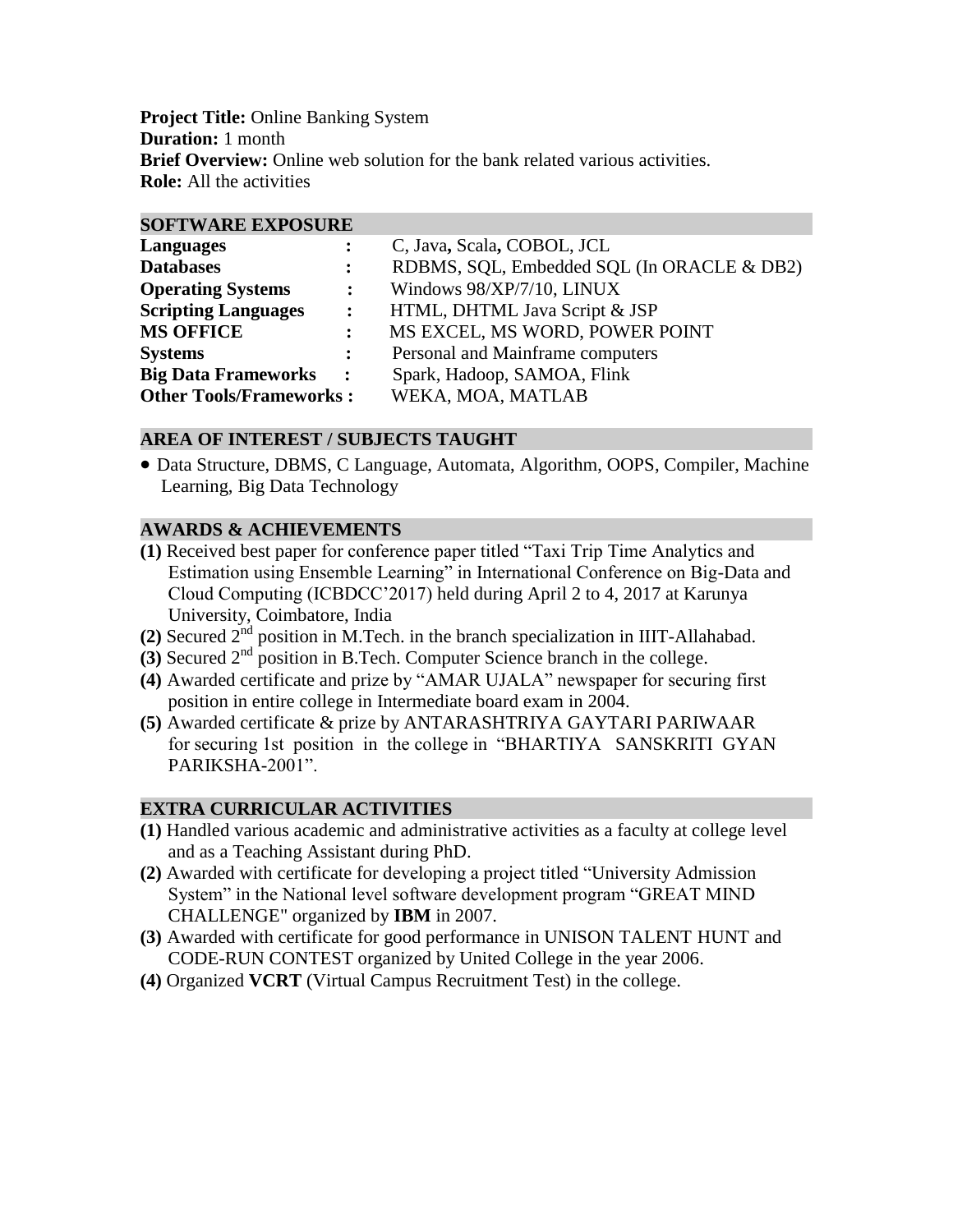**Project Title:** Online Banking System **Duration:** 1 month **Brief Overview:** Online web solution for the bank related various activities. **Role:** All the activities

#### **SOFTWARE EXPOSURE**

| <b>Languages</b>               |                      | C, Java, Scala, COBOL, JCL                 |
|--------------------------------|----------------------|--------------------------------------------|
| <b>Databases</b>               | $\ddot{\cdot}$       | RDBMS, SQL, Embedded SQL (In ORACLE & DB2) |
| <b>Operating Systems</b>       | $\ddot{\cdot}$       | Windows 98/XP/7/10, LINUX                  |
| <b>Scripting Languages</b>     | $\ddot{\cdot}$       | HTML, DHTML Java Script & JSP              |
| <b>MS OFFICE</b>               | $\ddot{\phantom{a}}$ | MS EXCEL, MS WORD, POWER POINT             |
| <b>Systems</b>                 | $\ddot{\cdot}$       | Personal and Mainframe computers           |
| <b>Big Data Frameworks</b>     | $\ddot{\cdot}$       | Spark, Hadoop, SAMOA, Flink                |
| <b>Other Tools/Frameworks:</b> |                      | WEKA, MOA, MATLAB                          |

### **AREA OF INTEREST / SUBJECTS TAUGHT**

 Data Structure, DBMS, C Language, Automata, Algorithm, OOPS, Compiler, Machine Learning, Big Data Technology

#### **AWARDS & ACHIEVEMENTS**

- **(1)** Received best paper for conference paper titled "Taxi Trip Time Analytics and Estimation using Ensemble Learning" in International Conference on Big-Data and Cloud Computing (ICBDCC'2017) held during April 2 to 4, 2017 at Karunya University, Coimbatore, India
- **(2)** Secured 2nd position in M.Tech. in the branch specialization in IIIT-Allahabad.
- **(3)** Secured 2nd position in B.Tech. Computer Science branch in the college.
- **(4)** Awarded certificate and prize by "AMAR UJALA" newspaper for securing first position in entire college in Intermediate board exam in 2004.
- **(5)** Awarded certificate & prize by ANTARASHTRIYA GAYTARI PARIWAAR for securing 1st position in the college in "BHARTIYA SANSKRITI GYAN PARIKSHA-2001".

#### **EXTRA CURRICULAR ACTIVITIES**

- **(1)** Handled various academic and administrative activities as a faculty at college level and as a Teaching Assistant during PhD.
- **(2)** Awarded with certificate for developing a project titled "University Admission System" in the National level software development program "GREAT MIND CHALLENGE" organized by **IBM** in 2007.
- **(3)** Awarded with certificate for good performance in UNISON TALENT HUNT and CODE-RUN CONTEST organized by United College in the year 2006.
- **(4)** Organized **VCRT** (Virtual Campus Recruitment Test) in the college.